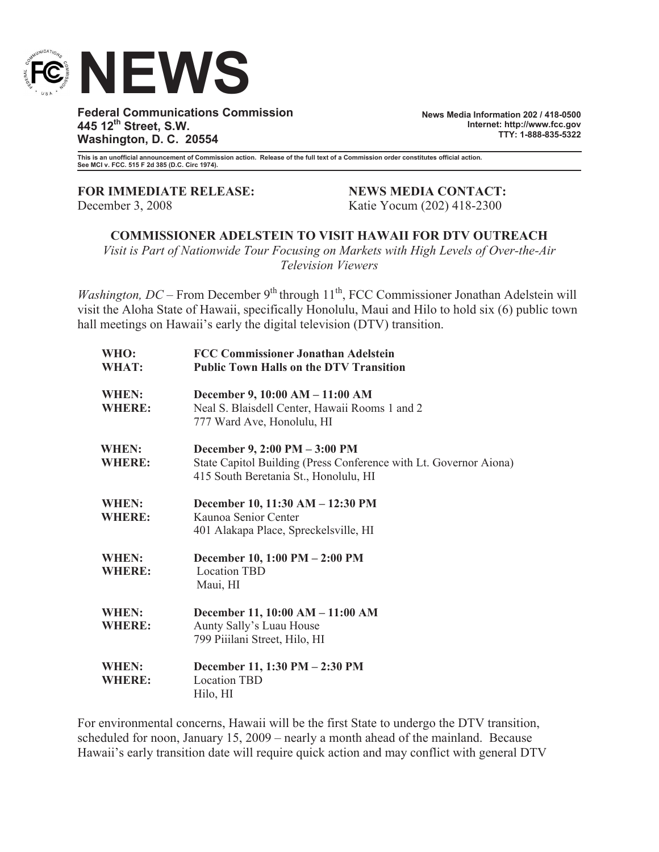

**Federal Communications Commission 445 12th Street, S.W. Washington, D. C. 20554**

**News Media Information 202 / 418-0500 Internet: http://www.fcc.gov TTY: 1-888-835-5322**

**This is an unofficial announcement of Commission action. Release of the full text of a Commission order constitutes official action. See MCI v. FCC. 515 F 2d 385 (D.C. Circ 1974).**

**FOR IMMEDIATE RELEASE: NEWS MEDIA CONTACT:**

December 3, 2008 Katie Yocum (202) 418-2300

**COMMISSIONER ADELSTEIN TO VISIT HAWAII FOR DTV OUTREACH**

*Visit is Part of Nationwide Tour Focusing on Markets with High Levels of Over-the-Air Television Viewers*

*Washington, DC* – From December 9<sup>th</sup> through 11<sup>th</sup>, FCC Commissioner Jonathan Adelstein will visit the Aloha State of Hawaii, specifically Honolulu, Maui and Hilo to hold six (6) public town hall meetings on Hawaii's early the digital television (DTV) transition.

| WHO:<br>WHAT:                 | <b>FCC Commissioner Jonathan Adelstein</b><br><b>Public Town Halls on the DTV Transition</b>                                                |
|-------------------------------|---------------------------------------------------------------------------------------------------------------------------------------------|
| <b>WHEN:</b><br><b>WHERE:</b> | December 9, 10:00 AM - 11:00 AM<br>Neal S. Blaisdell Center, Hawaii Rooms 1 and 2<br>777 Ward Ave, Honolulu, HI                             |
| <b>WHEN:</b><br><b>WHERE:</b> | December 9, 2:00 PM - 3:00 PM<br>State Capitol Building (Press Conference with Lt. Governor Aiona)<br>415 South Beretania St., Honolulu, HI |
| <b>WHEN:</b><br><b>WHERE:</b> | December 10, 11:30 AM - 12:30 PM<br>Kaunoa Senior Center<br>401 Alakapa Place, Spreckelsville, HI                                           |
| WHEN:<br><b>WHERE:</b>        | December 10, 1:00 PM - 2:00 PM<br><b>Location TBD</b><br>Maui, HI                                                                           |
| WHEN:<br><b>WHERE:</b>        | December 11, 10:00 AM - 11:00 AM<br>Aunty Sally's Luau House<br>799 Piiilani Street, Hilo, HI                                               |
| WHEN:<br><b>WHERE:</b>        | December 11, 1:30 PM - 2:30 PM<br><b>Location TBD</b><br>Hilo, HI                                                                           |

For environmental concerns, Hawaii will be the first State to undergo the DTV transition, scheduled for noon, January 15, 2009 – nearly a month ahead of the mainland. Because Hawaii's early transition date will require quick action and may conflict with general DTV